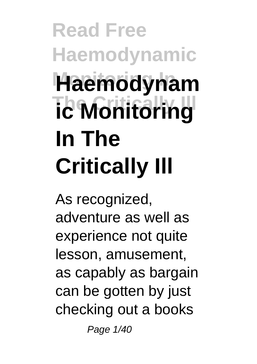## **Read Free Haemodynamic Monitoring In Haemodynam** *<u>ic Monitoring</u>* **In The Critically Ill**

As recognized, adventure as well as experience not quite lesson, amusement, as capably as bargain can be gotten by just checking out a books

Page 1/40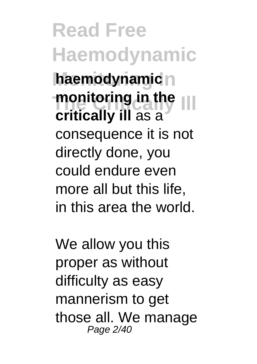**Read Free Haemodynamic haemodynamic**<sub>n</sub> **The Critically Ill monitoring in the critically ill** as a consequence it is not directly done, you could endure even more all but this life, in this area the world.

We allow you this proper as without difficulty as easy mannerism to get those all. We manage Page 2/40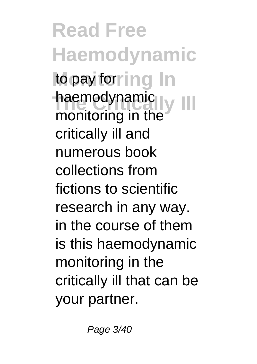**Read Free Haemodynamic** to pay for ing In naemodynamic<br>monitoring in the haemodynamic critically ill and numerous book collections from fictions to scientific research in any way. in the course of them is this haemodynamic monitoring in the critically ill that can be your partner.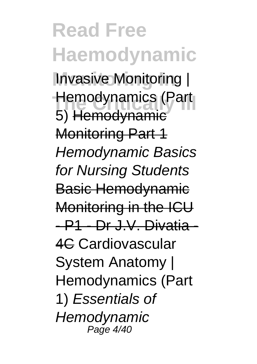**Read Free Haemodynamic Invasive Monitoring |** Hemodynamics (Part 5) Hemodynamic Monitoring Part 1 Hemodynamic Basics for Nursing Students Basic Hemodynamic Monitoring in the ICU - P1 - Dr J.V. Divatia - 4C Cardiovascular System Anatomy | Hemodynamics (Part 1) Essentials of **Hemodynamic** Page 4/40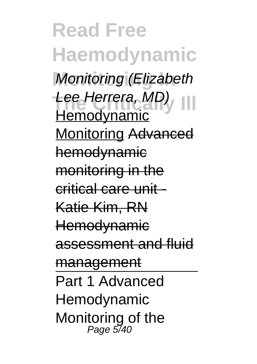**Read Free Haemodynamic Monitoring (Elizabeth** Lee Herrera, MD), III Hemodynamic Monitoring Advanced hemodynamic monitoring in the critical care unit - Katie Kim, RN **Hemodvnamic** assessment and fluid management Part 1 Advanced Hemodynamic Monitoring of the Page 5/40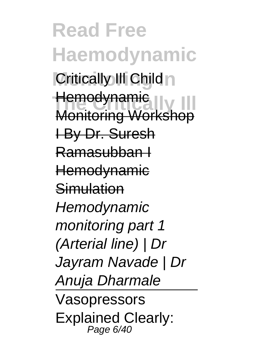**Read Free Haemodynamic Critically III Child** <del>Hemodynamic</del><br>Monitoring Workshop **Hemodynamic** I By Dr. Suresh Ramasubban I **Hemodynamic** Simulation **Hemodynamic** monitoring part 1 (Arterial line) | Dr Jayram Navade | Dr Anuja Dharmale Vasopressors Explained Clearly: Page 6/40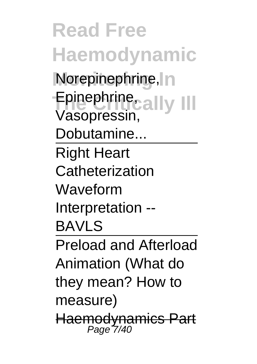**Read Free Haemodynamic Norepinephrine, In** Epinephrine<sub>cally</sub> III Vasopressin, Dobutamine... Right Heart **Catheterization** Waveform Interpretation -- BAVLS Preload and Afterload Animation (What do they mean? How to measure) Haemodynamics Part<br>Page 7/40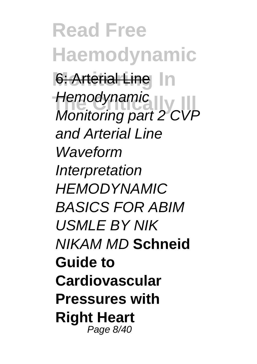**Read Free Haemodynamic 6: Arterial Line In Hemodynamic**<br>Monitoring part 2 CVP **Hemodynamic** and Arterial Line Waveform **Interpretation** HEMODYNAMIC BASICS FOR ABIM USMLE BY NIK NIKAM MD **Schneid Guide to Cardiovascular Pressures with Right Heart** Page 8/40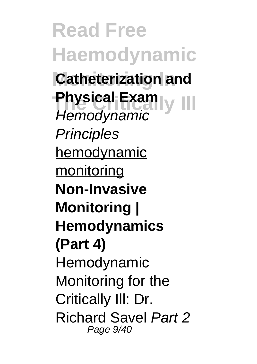**Read Free Haemodynamic Catheterization and Physical Exam**<br>
Versed manual VIII **Hemodynamic Principles** hemodynamic monitoring **Non-Invasive Monitoring | Hemodynamics (Part 4)** Hemodynamic Monitoring for the Critically Ill: Dr. Richard Savel Part 2 Page 9/40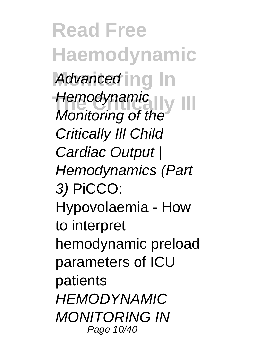**Read Free Haemodynamic** Advanced ing In **The Critical Section**  $\prod$ Monitoring of the Critically Ill Child Cardiac Output | Hemodynamics (Part 3) PiCCO: Hypovolaemia - How to interpret hemodynamic preload parameters of ICU patients HEMODYNAMIC MONITORING IN Page 10/40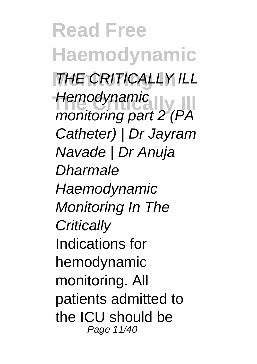**Read Free Haemodynamic THE CRITICALLY ILL Hemodynamic**<br>monitoring part 2 (PA **Hemodynamic** Catheter) | Dr Jayram Navade | Dr Anuja Dharmale **Haemodynamic** Monitoring In The **Critically** Indications for hemodynamic monitoring. All patients admitted to the ICU should be Page 11/40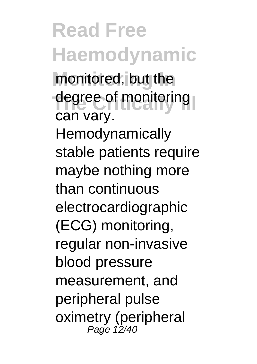**Read Free Haemodynamic** monitored, but the degree of monitoring can vary. Hemodynamically stable patients require maybe nothing more than continuous electrocardiographic (ECG) monitoring, regular non-invasive blood pressure measurement, and peripheral pulse oximetry (peripheral Page 12/40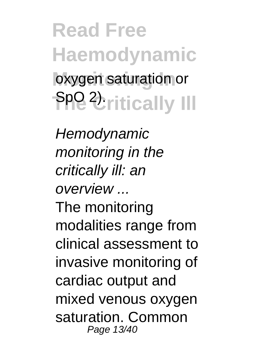**Read Free Haemodynamic** oxygen saturation or **The Unitically III** 

**Hemodynamic** monitoring in the critically ill: an overview ... The monitoring modalities range from clinical assessment to invasive monitoring of cardiac output and mixed venous oxygen saturation. Common Page 13/40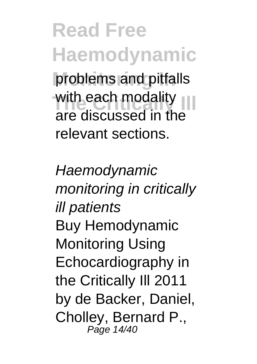**Read Free Haemodynamic** problems and pitfalls with each modality<br>
are discussed in the are discussed in the relevant sections.

**Haemodynamic** monitoring in critically ill patients Buy Hemodynamic Monitoring Using Echocardiography in the Critically Ill 2011 by de Backer, Daniel, Cholley, Bernard P., Page 14/40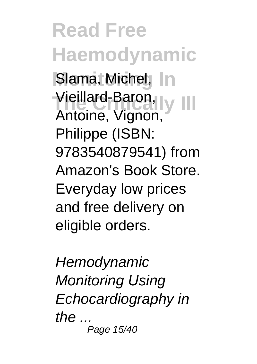**Read Free Haemodynamic Slama, Michel, In** Vieillard-Baron, v III Antoine, Vignon, Philippe (ISBN: 9783540879541) from Amazon's Book Store. Everyday low prices and free delivery on eligible orders.

**Hemodynamic** Monitoring Using Echocardiography in the  $\ldots$ Page 15/40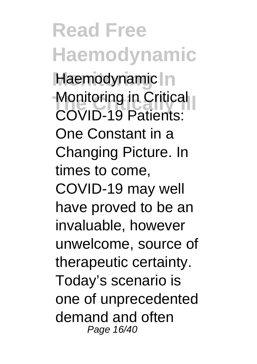**Read Free Haemodynamic** Haemodynamic In **Monitoring in Critical** COVID-19 Patients: One Constant in a Changing Picture. In times to come, COVID-19 may well have proved to be an invaluable, however unwelcome, source of therapeutic certainty. Today's scenario is one of unprecedented demand and often Page 16/40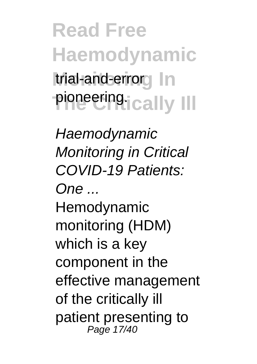**Read Free Haemodynamic** trial-and-errorg In **Pioneering.**<br> **ically** III

**Haemodynamic** Monitoring in Critical COVID-19 Patients: One ... Hemodynamic monitoring (HDM) which is a key component in the effective management of the critically ill patient presenting to Page 17/40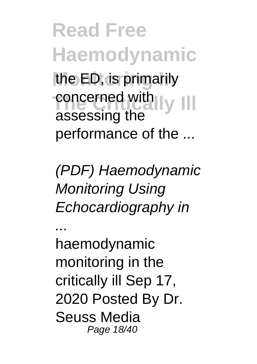**Read Free Haemodynamic** the ED, is primarily **The Concerned with Ly III** assessing the performance of the ...

(PDF) Haemodynamic Monitoring Using Echocardiography in

... haemodynamic monitoring in the critically ill Sep 17, 2020 Posted By Dr. Seuss Media Page 18/40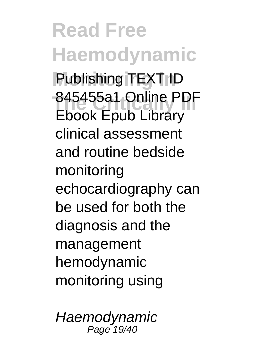**Read Free Haemodynamic Publishing TEXT ID** 845455a1 Online PDF Ebook Epub Library clinical assessment and routine bedside monitoring echocardiography can be used for both the diagnosis and the management hemodynamic monitoring using

**Haemodynamic** Page 19/40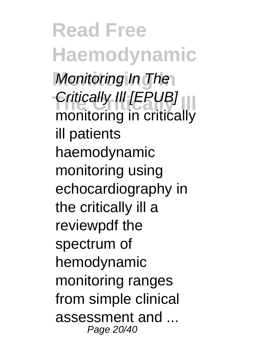**Read Free Haemodynamic Monitoring In** Monitoring In The *Critically III* [EPUB] monitoring in critically ill patients haemodynamic monitoring using echocardiography in the critically ill a reviewpdf the spectrum of hemodynamic monitoring ranges from simple clinical assessment and Page 20/40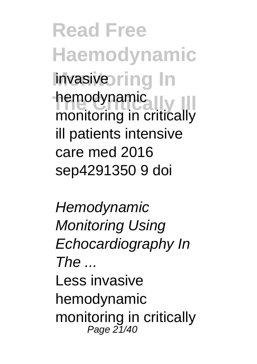**Read Free Haemodynamic invasivering** In nemodynamic<br>monitoring in critically hemodynamic ill patients intensive care med 2016 sep4291350 9 doi

**Hemodynamic** Monitoring Using Echocardiography In  $The$ Less invasive hemodynamic monitoring in critically Page 21/40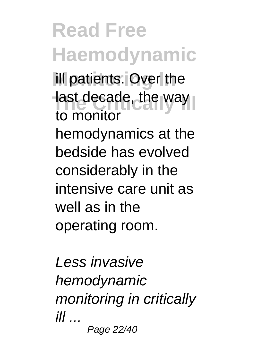**Read Free Haemodynamic** ill patients. Over the last decade, the way to monitor hemodynamics at the bedside has evolved considerably in the intensive care unit as well as in the operating room.

Less invasive hemodynamic monitoring in critically  $ill$  ... Page 22/40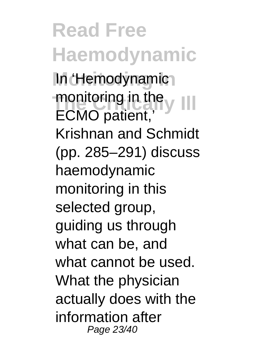**Read Free Haemodynamic** In 'Hemodynamic<sub>1</sub> monitoring in the v III ECMO patient,' Krishnan and Schmidt (pp. 285–291) discuss haemodynamic monitoring in this selected group, guiding us through what can be, and what cannot be used. What the physician actually does with the information after Page 23/40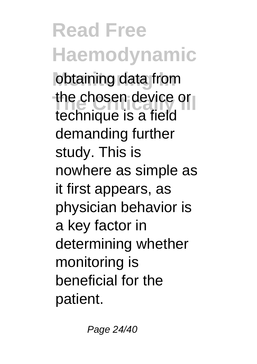## **Read Free Haemodynamic**

obtaining data from the chosen device or technique is a field demanding further study. This is nowhere as simple as it first appears, as physician behavior is a key factor in determining whether monitoring is beneficial for the patient.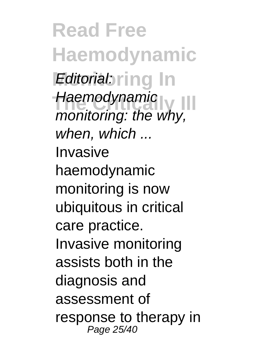**Read Free Haemodynamic Editorial:** ring In **The Critically Ill** monitoring: the why, **Haemodynamic** when, which ... Invasive haemodynamic monitoring is now ubiquitous in critical care practice. Invasive monitoring assists both in the diagnosis and assessment of response to therapy in Page 25/40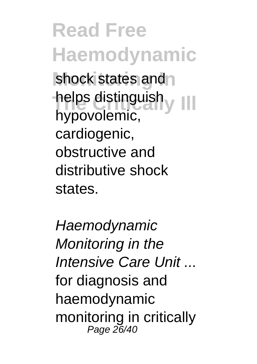**Read Free Haemodynamic** shock states and helps distinguish y III hypovolemic, cardiogenic, obstructive and distributive shock states.

**Haemodvnamic** Monitoring in the Intensive Care Unit ... for diagnosis and haemodynamic monitoring in critically Page 26/40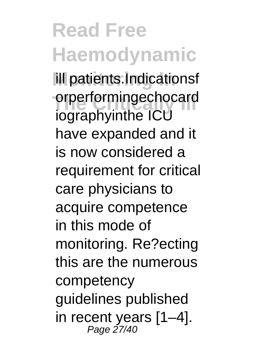## **Read Free Haemodynamic** ill patients.Indicationsf

orperformingechocard<br>
is graph inthe ICU iographyinthe ICU have expanded and it is now considered a requirement for critical care physicians to acquire competence in this mode of monitoring. Re?ecting this are the numerous competency guidelines published in recent years [1–4]. Page 27/40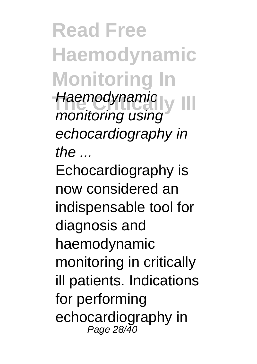**Read Free Haemodynamic Monitoring In Haemodynamic** monitoring using echocardiography in  $the$ Echocardiography is now considered an indispensable tool for diagnosis and haemodynamic monitoring in critically ill patients. Indications for performing echocardiography in Page 28/40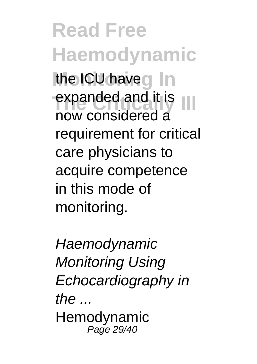**Read Free Haemodynamic** the ICU haveg In expanded and it is now considered a requirement for critical care physicians to acquire competence in this mode of monitoring.

**Haemodvnamic** Monitoring Using Echocardiography in the ... Hemodynamic Page 29/40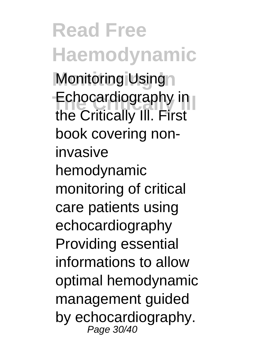**Read Free Haemodynamic Monitoring Using Echocardiography in** the Critically Ill. First book covering noninvasive hemodynamic monitoring of critical care patients using echocardiography Providing essential informations to allow optimal hemodynamic management guided by echocardiography. Page 30/40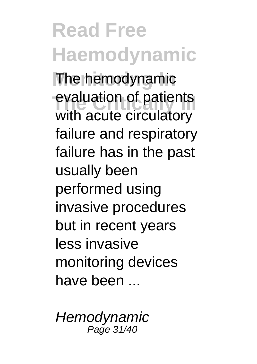**Read Free Haemodynamic The hemodynamic** evaluation of patients with acute circulatory failure and respiratory failure has in the past usually been performed using invasive procedures but in recent years less invasive monitoring devices have been ...

**Hemodynamic** Page 31/40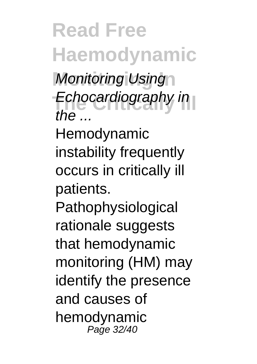**Read Free Haemodynamic Monitoring Using Echocardiography in** the  $-$ 

Hemodynamic instability frequently occurs in critically ill patients.

**Pathophysiological** rationale suggests that hemodynamic monitoring (HM) may identify the presence and causes of hemodynamic Page 32/40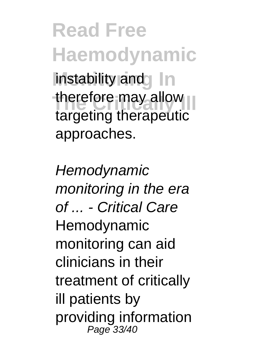**Read Free Haemodynamic** instability and In therefore may allow targeting therapeutic approaches.

**Hemodynamic** monitoring in the era of - Critical Care Hemodynamic monitoring can aid clinicians in their treatment of critically ill patients by providing information Page 33/40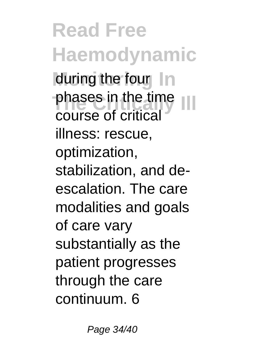**Read Free Haemodynamic** during the four In phases in the time<br> **Phases** in the time course of critical illness: rescue, optimization, stabilization, and deescalation. The care modalities and goals of care vary substantially as the patient progresses through the care continuum. 6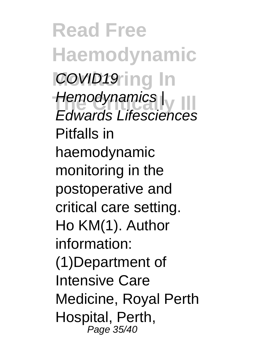**Read Free Haemodynamic COVID19 ing In Hemodynamics** |<br>Educado Lifeccioness Edwards Lifesciences Pitfalls in haemodynamic monitoring in the postoperative and critical care setting. Ho KM(1). Author information: (1)Department of Intensive Care Medicine, Royal Perth Hospital, Perth, Page 35/40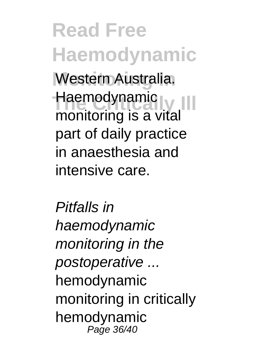**Read Free Haemodynamic Western Australia.** Haemodynamic<br>
manitariae is a vital monitoring is a vital part of daily practice in anaesthesia and intensive care.

Pitfalls in haemodynamic monitoring in the postoperative ... hemodynamic monitoring in critically hemodynamic Page 36/40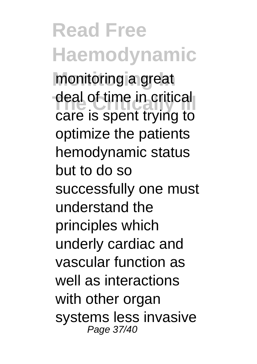**Read Free Haemodynamic Monitoring In** monitoring a great deal of time in critical care is spent trying to optimize the patients hemodynamic status but to do so successfully one must understand the principles which underly cardiac and vascular function as well as interactions with other organ systems less invasive Page 37/40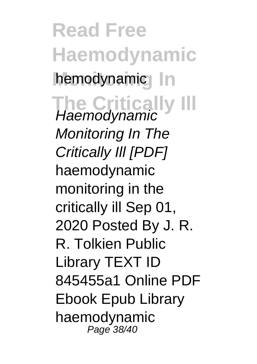**Read Free Haemodynamic** hemodynamic In **The Critically Ill** Haemodynamic Monitoring In The Critically Ill [PDF] haemodynamic monitoring in the critically ill Sep 01, 2020 Posted By J. R. R. Tolkien Public Library TEXT ID 845455a1 Online PDF Ebook Epub Library haemodynamic Page 38/40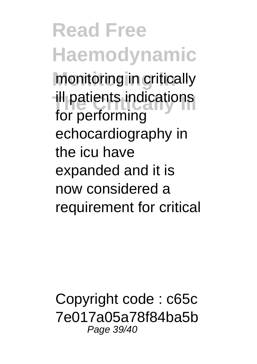**Read Free Haemodynamic Monitoring In** monitoring in critically ill patients indications for performing echocardiography in the icu have expanded and it is now considered a requirement for critical

Copyright code : c65c 7e017a05a78f84ba5b Page 39/40